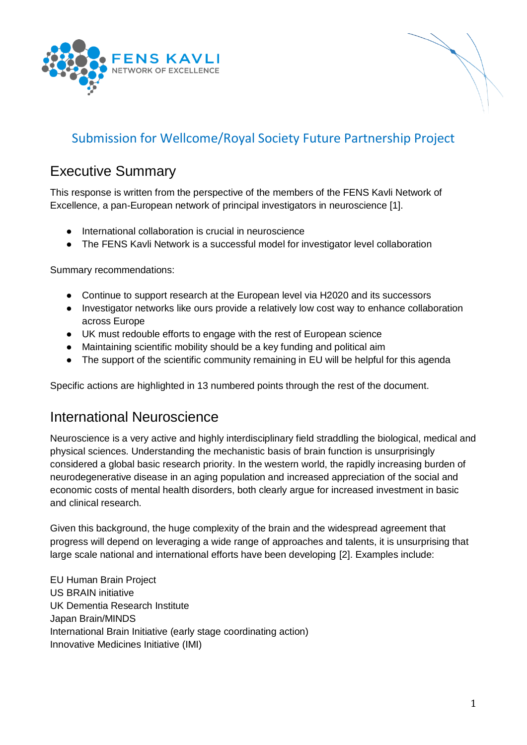



## Submission for Wellcome/Royal Society Future Partnership Project

### Executive Summary

This response is written from the perspective of the members of the FENS Kavli Network of Excellence, a pan-European network of principal investigators in neuroscience [1].

- International collaboration is crucial in neuroscience
- The FENS Kavli Network is a successful model for investigator level collaboration

Summary recommendations:

- Continue to support research at the European level via H2020 and its successors
- Investigator networks like ours provide a relatively low cost way to enhance collaboration across Europe
- UK must redouble efforts to engage with the rest of European science
- Maintaining scientific mobility should be a key funding and political aim
- The support of the scientific community remaining in EU will be helpful for this agenda

Specific actions are highlighted in 13 numbered points through the rest of the document.

### International Neuroscience

Neuroscience is a very active and highly interdisciplinary field straddling the biological, medical and physical sciences. Understanding the mechanistic basis of brain function is unsurprisingly considered a global basic research priority. In the western world, the rapidly increasing burden of neurodegenerative disease in an aging population and increased appreciation of the social and economic costs of mental health disorders, both clearly argue for increased investment in basic and clinical research.

Given this background, the huge complexity of the brain and the widespread agreement that progress will depend on leveraging a wide range of approaches and talents, it is unsurprising that large scale national and international efforts have been developing [\[2\].](https://paperpile.com/c/Gt7IiU/9kxk) Examples include:

EU Human Brain Project US BRAIN initiative UK Dementia Research Institute Japan Brain/MINDS International Brain Initiative (early stage coordinating action) Innovative Medicines Initiative (IMI)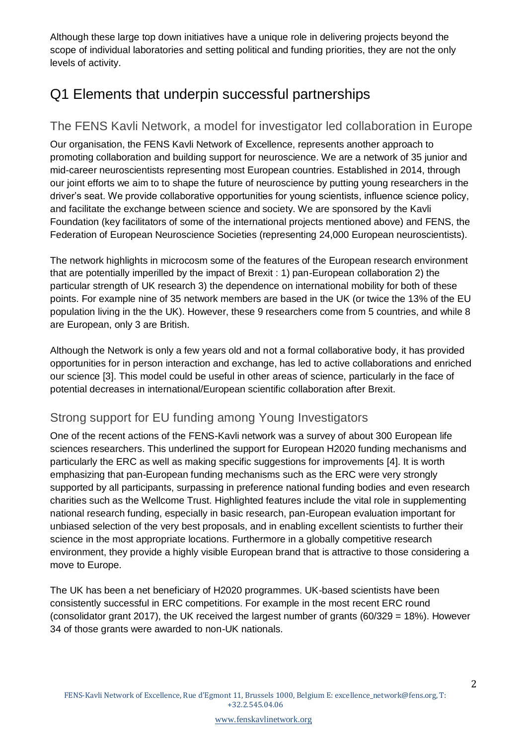Although these large top down initiatives have a unique role in delivering projects beyond the scope of individual laboratories and setting political and funding priorities, they are not the only levels of activity.

# Q1 Elements that underpin successful partnerships

### The FENS Kavli Network, a model for investigator led collaboration in Europe

Our organisation, the FENS Kavli Network of Excellence, represents another approach to promoting collaboration and building support for neuroscience. We are a network of 35 junior and mid-career neuroscientists representing most European countries. Established in 2014, through our joint efforts we aim to to shape the future of neuroscience by putting young researchers in the driver's seat. We provide collaborative opportunities for young scientists, influence science policy, and facilitate the exchange between science and society. We are sponsored by the Kavli Foundation (key facilitators of some of the international projects mentioned above) and FENS, the Federation of European Neuroscience Societies (representing 24,000 European neuroscientists).

The network highlights in microcosm some of the features of the European research environment that are potentially imperilled by the impact of Brexit : 1) pan-European collaboration 2) the particular strength of UK research 3) the dependence on international mobility for both of these points. For example nine of 35 network members are based in the UK (or twice the 13% of the EU population living in the the UK). However, these 9 researchers come from 5 countries, and while 8 are European, only 3 are British.

Although the Network is only a few years old and not a formal collaborative body, it has provided opportunities for in person interaction and exchange, has led to active collaborations and enriched our science [\[3\].](https://paperpile.com/c/Gt7IiU/Auyc) This model could be useful in other areas of science, particularly in the face of potential decreases in international/European scientific collaboration after Brexit.

### Strong support for EU funding among Young Investigators

One of the recent actions of the FENS-Kavli network was a survey of about 300 European life sciences researchers. This underlined the support for European H2020 funding mechanisms and particularly the ERC as well as making specific suggestions for improvements [\[4\].](https://paperpile.com/c/Gt7IiU/gi8t) It is worth emphasizing that pan-European funding mechanisms such as the ERC were very strongly supported by all participants, surpassing in preference national funding bodies and even research charities such as the Wellcome Trust. Highlighted features include the vital role in supplementing national research funding, especially in basic research, pan-European evaluation important for unbiased selection of the very best proposals, and in enabling excellent scientists to further their science in the most appropriate locations. Furthermore in a globally competitive research environment, they provide a highly visible European brand that is attractive to those considering a move to Europe.

The UK has been a net beneficiary of H2020 programmes. UK-based scientists have been consistently successful in ERC competitions. For example in the most recent ERC round (consolidator grant 2017), the UK received the largest number of grants (60/329 = 18%). However 34 of those grants were awarded to non-UK nationals.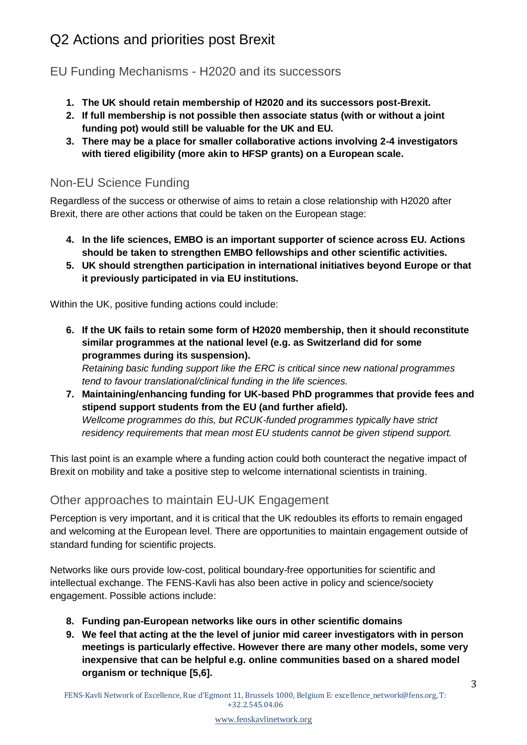# Q2 Actions and priorities post Brexit

EU Funding Mechanisms - H2020 and its successors

- **1. The UK should retain membership of H2020 and its successors post-Brexit.**
- **2. If full membership is not possible then associate status (with or without a joint funding pot) would still be valuable for the UK and EU.**
- **3. There may be a place for smaller collaborative actions involving 2-4 investigators with tiered eligibility (more akin to HFSP grants) on a European scale.**

### Non-EU Science Funding

Regardless of the success or otherwise of aims to retain a close relationship with H2020 after Brexit, there are other actions that could be taken on the European stage:

- **4. In the life sciences, EMBO is an important supporter of science across EU. Actions should be taken to strengthen EMBO fellowships and other scientific activities.**
- **5. UK should strengthen participation in international initiatives beyond Europe or that it previously participated in via EU institutions.**

Within the UK, positive funding actions could include:

**6. If the UK fails to retain some form of H2020 membership, then it should reconstitute similar programmes at the national level (e.g. as Switzerland did for some programmes during its suspension).**

*Retaining basic funding support like the ERC is critical since new national programmes tend to favour translational/clinical funding in the life sciences.*

**7. Maintaining/enhancing funding for UK-based PhD programmes that provide fees and stipend support students from the EU (and further afield).** *Wellcome programmes do this, but RCUK-funded programmes typically have strict residency requirements that mean most EU students cannot be given stipend support.*

This last point is an example where a funding action could both counteract the negative impact of Brexit on mobility and take a positive step to welcome international scientists in training.

### Other approaches to maintain EU-UK Engagement

Perception is very important, and it is critical that the UK redoubles its efforts to remain engaged and welcoming at the European level. There are opportunities to maintain engagement outside of standard funding for scientific projects.

Networks like ours provide low-cost, political boundary-free opportunities for scientific and intellectual exchange. The FENS-Kavli has also been active in policy and science/society engagement. Possible actions include:

- **8. Funding pan-European networks like ours in other scientific domains**
- **9. We feel that acting at the the level of junior mid career investigators with in person meetings is particularly effective. However there are many other models, some very inexpensive that can be helpful e.g. online communities based on a shared model organism or technique [5,6].**